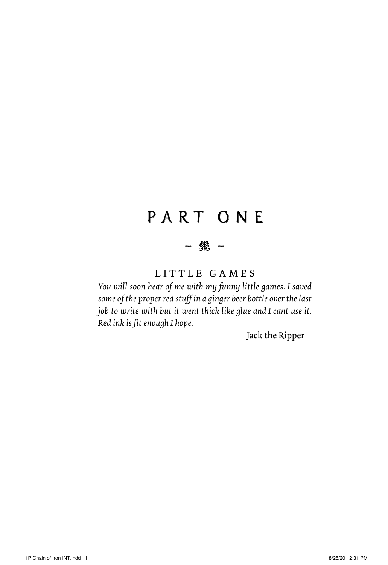# PART ONE

### ― ―

### LITTLE GAMES

*You will soon hear of me with my funny little games. I saved some of the proper red stuff in a ginger beer bottle over the last job to write with but it went thick like glue and I cant use it. Red ink is fit enough I hope.*

—Jack the Ripper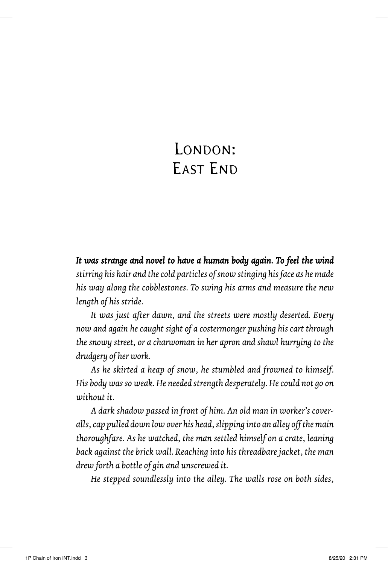# LONDON: EAST END

It was strange and novel to have a human body again. To feel the wind *stirring his hair and the cold particles of snow stinging his face as he made his way along the cobblestones. To swing his arms and measure the new length of his stride.* 

*It was just after dawn, and the streets were mostly deserted. Every now and again he caught sight of a costermonger pushing his cart through the snowy street, or a charwoman in her apron and shawl hurrying to the drudgery of her work.* 

*As he skirted a heap of snow, he stumbled and frowned to himself. His body was so weak. He needed strength desperately. He could not go on without it.*

*A dark shadow passed in front of him. An old man in worker's coveralls, cap pulled down low over his head, slipping into an alley off the main thoroughfare. As he watched, the man settled himself on a crate, leaning back against the brick wall. Reaching into his threadbare jacket, the man drew forth a bottle of gin and unscrewed it.*

*He stepped soundlessly into the alley. The walls rose on both sides,*